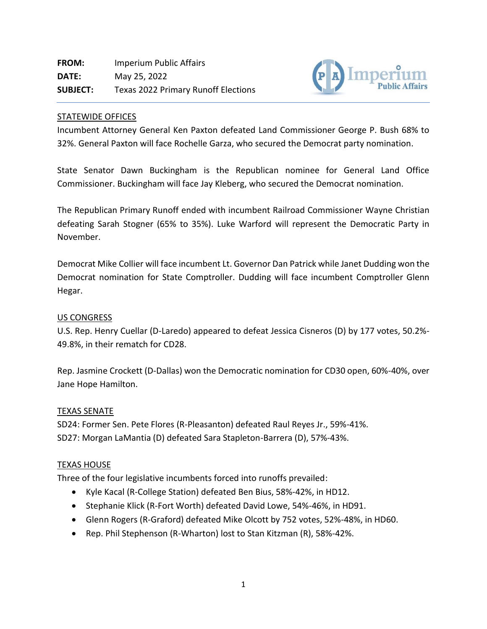

### STATEWIDE OFFICES

Incumbent Attorney General Ken Paxton defeated Land Commissioner George P. Bush 68% to 32%. General Paxton will face Rochelle Garza, who secured the Democrat party nomination.

State Senator Dawn Buckingham is the Republican nominee for General Land Office Commissioner. Buckingham will face Jay Kleberg, who secured the Democrat nomination.

The Republican Primary Runoff ended with incumbent Railroad Commissioner Wayne Christian defeating Sarah Stogner (65% to 35%). Luke Warford will represent the Democratic Party in November.

Democrat Mike Collier will face incumbent Lt. Governor Dan Patrick while Janet Dudding won the Democrat nomination for State Comptroller. Dudding will face incumbent Comptroller Glenn Hegar.

### US CONGRESS

U.S. Rep. Henry Cuellar (D-Laredo) appeared to defeat Jessica Cisneros (D) by 177 votes, 50.2%- 49.8%, in their rematch for CD28.

Rep. Jasmine Crockett (D-Dallas) won the Democratic nomination for CD30 open, 60%-40%, over Jane Hope Hamilton.

### TEXAS SENATE

SD24: Former Sen. Pete Flores (R-Pleasanton) defeated Raul Reyes Jr., 59%-41%. SD27: Morgan LaMantia (D) defeated Sara Stapleton-Barrera (D), 57%-43%.

### TEXAS HOUSE

Three of the four legislative incumbents forced into runoffs prevailed:

- Kyle Kacal (R-College Station) defeated Ben Bius, 58%-42%, in HD12.
- Stephanie Klick (R-Fort Worth) defeated David Lowe, 54%-46%, in HD91.
- Glenn Rogers (R-Graford) defeated Mike Olcott by 752 votes, 52%-48%, in HD60.
- Rep. Phil Stephenson (R-Wharton) lost to Stan Kitzman (R), 58%-42%.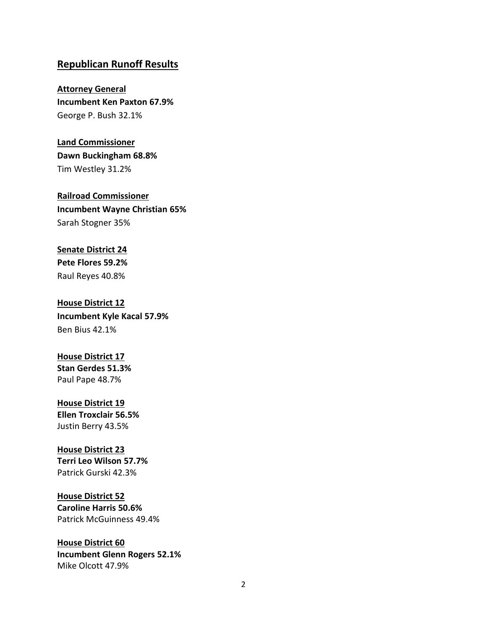# **Republican Runoff Results**

**Attorney General Incumbent Ken Paxton 67.9%** George P. Bush 32.1%

**Land Commissioner Dawn Buckingham 68.8%** Tim Westley 31.2%

**Railroad Commissioner Incumbent Wayne Christian 65%** Sarah Stogner 35%

**Senate District 24 Pete Flores 59.2%** Raul Reyes 40.8%

**House District 12 Incumbent Kyle Kacal 57.9%** Ben Bius 42.1%

**House District 17 Stan Gerdes 51.3%** Paul Pape 48.7%

**House District 19 Ellen Troxclair 56.5%** Justin Berry 43.5%

**House District 23 Terri Leo Wilson 57.7%** Patrick Gurski 42.3%

**House District 52 Caroline Harris 50.6%** Patrick McGuinness 49.4%

**House District 60 Incumbent Glenn Rogers 52.1%** Mike Olcott 47.9%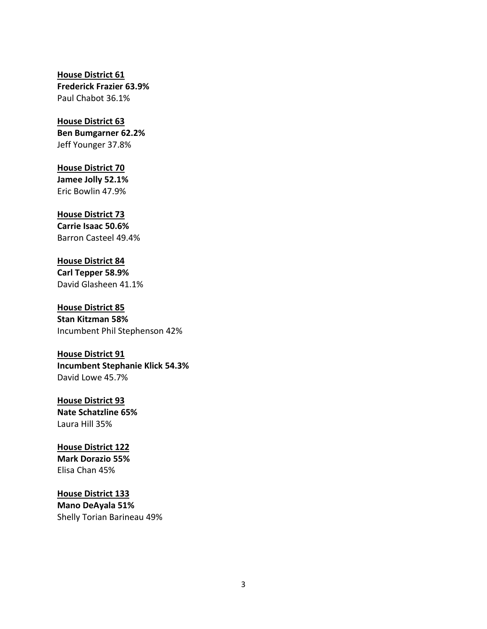### **House District 61 Frederick Frazier 63.9%** Paul Chabot 36.1%

### **House District 63 Ben Bumgarner 62.2%** Jeff Younger 37.8%

**House District 70 Jamee Jolly 52.1%** Eric Bowlin 47.9%

### **House District 73**

**Carrie Isaac 50.6%** Barron Casteel 49.4%

# **House District 84**

**Carl Tepper 58.9%** David Glasheen 41.1%

**House District 85 Stan Kitzman 58%** Incumbent Phil Stephenson 42%

### **House District 91**

**Incumbent Stephanie Klick 54.3%** David Lowe 45.7%

**House District 93 Nate Schatzline 65%** Laura Hill 35%

**House District 122 Mark Dorazio 55%** Elisa Chan 45%

### **House District 133**

**Mano DeAyala 51%** Shelly Torian Barineau 49%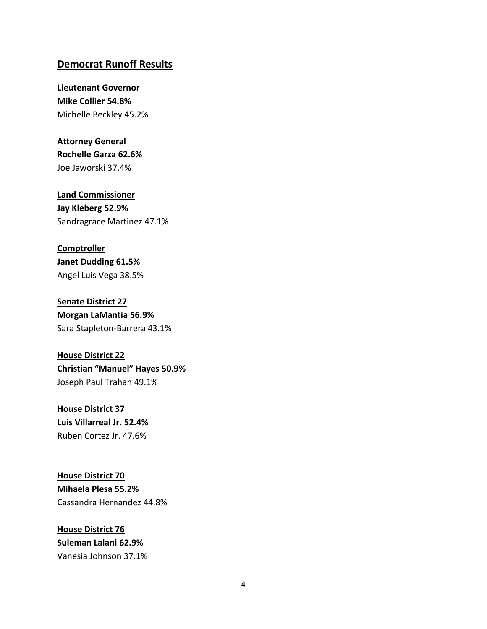## **Democrat Runoff Results**

#### **Lieutenant Governor**

**Mike Collier 54.8%** Michelle Beckley 45.2%

### **Attorney General**

**Rochelle Garza 62.6%** Joe Jaworski 37.4%

**Land Commissioner Jay Kleberg 52.9%** Sandragrace Martinez 47.1%

#### **Comptroller**

**Janet Dudding 61.5%** Angel Luis Vega 38.5%

# **Senate District 27**

**Morgan LaMantia 56.9%** Sara Stapleton-Barrera 43.1%

# **House District 22 Christian "Manuel" Hayes 50.9%** Joseph Paul Trahan 49.1%

### **House District 37**

**Luis Villarreal Jr. 52.4%** Ruben Cortez Jr. 47.6%

# **House District 70 Mihaela Plesa 55.2%** Cassandra Hernandez 44.8%

# **House District 76 Suleman Lalani 62.9%** Vanesia Johnson 37.1%